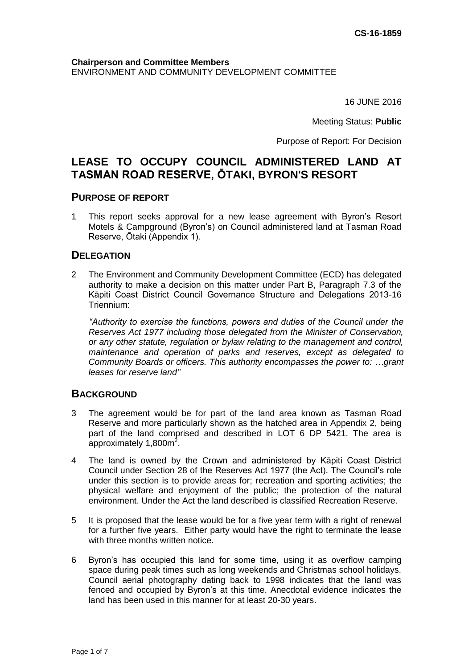#### **Chairperson and Committee Members** ENVIRONMENT AND COMMUNITY DEVELOPMENT COMMITTEE

16 JUNE 2016

Meeting Status: **Public**

Purpose of Report: For Decision

# **LEASE TO OCCUPY COUNCIL ADMINISTERED LAND AT TASMAN ROAD RESERVE, ŌTAKI, BYRON'S RESORT**

#### **PURPOSE OF REPORT**

1 This report seeks approval for a new lease agreement with Byron's Resort Motels & Campground (Byron's) on Council administered land at Tasman Road Reserve, Ōtaki (Appendix 1).

#### **DELEGATION**

2 The Environment and Community Development Committee (ECD) has delegated authority to make a decision on this matter under Part B, Paragraph 7.3 of the Kāpiti Coast District Council Governance Structure and Delegations 2013-16 Triennium:

*"Authority to exercise the functions, powers and duties of the Council under the Reserves Act 1977 including those delegated from the Minister of Conservation, or any other statute, regulation or bylaw relating to the management and control, maintenance and operation of parks and reserves, except as delegated to Community Boards or officers. This authority encompasses the power to: …grant leases for reserve land"*

## **BACKGROUND**

- 3 The agreement would be for part of the land area known as Tasman Road Reserve and more particularly shown as the hatched area in Appendix 2, being part of the land comprised and described in LOT 6 DP 5421. The area is approximately 1,800 $m^2$ .
- 4 The land is owned by the Crown and administered by Kāpiti Coast District Council under Section 28 of the Reserves Act 1977 (the Act). The Council's role under this section is to provide areas for; recreation and sporting activities; the physical welfare and enjoyment of the public; the protection of the natural environment. Under the Act the land described is classified Recreation Reserve.
- 5 It is proposed that the lease would be for a five year term with a right of renewal for a further five years. Either party would have the right to terminate the lease with three months written notice.
- 6 Byron's has occupied this land for some time, using it as overflow camping space during peak times such as long weekends and Christmas school holidays. Council aerial photography dating back to 1998 indicates that the land was fenced and occupied by Byron's at this time. Anecdotal evidence indicates the land has been used in this manner for at least 20-30 years.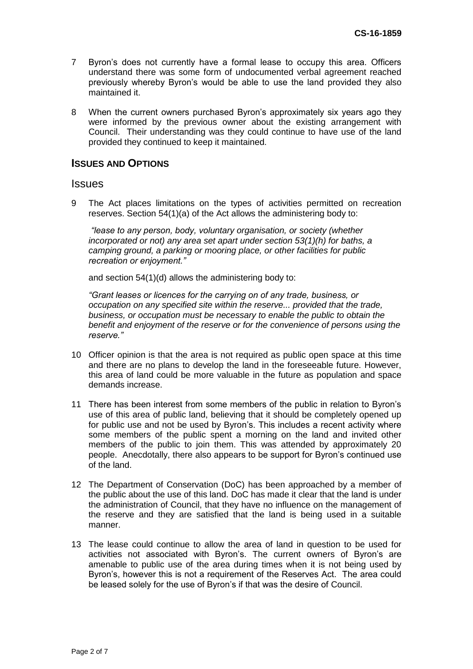- 7 Byron's does not currently have a formal lease to occupy this area. Officers understand there was some form of undocumented verbal agreement reached previously whereby Byron's would be able to use the land provided they also maintained it.
- 8 When the current owners purchased Byron's approximately six years ago they were informed by the previous owner about the existing arrangement with Council. Their understanding was they could continue to have use of the land provided they continued to keep it maintained.

#### **ISSUES AND OPTIONS**

#### **Issues**

9 The Act places limitations on the types of activities permitted on recreation reserves. Section 54(1)(a) of the Act allows the administering body to:

*"lease to any person, body, voluntary organisation, or society (whether incorporated or not) any area set apart under section 53(1)(h) for baths, a camping ground, a parking or mooring place, or other facilities for public recreation or enjoyment."*

and section 54(1)(d) allows the administering body to:

*"Grant leases or licences for the carrying on of any trade, business, or occupation on any specified site within the reserve... provided that the trade, business, or occupation must be necessary to enable the public to obtain the benefit and enjoyment of the reserve or for the convenience of persons using the reserve."*

- 10 Officer opinion is that the area is not required as public open space at this time and there are no plans to develop the land in the foreseeable future. However, this area of land could be more valuable in the future as population and space demands increase.
- 11 There has been interest from some members of the public in relation to Byron's use of this area of public land, believing that it should be completely opened up for public use and not be used by Byron's. This includes a recent activity where some members of the public spent a morning on the land and invited other members of the public to join them. This was attended by approximately 20 people. Anecdotally, there also appears to be support for Byron's continued use of the land.
- 12 The Department of Conservation (DoC) has been approached by a member of the public about the use of this land. DoC has made it clear that the land is under the administration of Council, that they have no influence on the management of the reserve and they are satisfied that the land is being used in a suitable manner.
- 13 The lease could continue to allow the area of land in question to be used for activities not associated with Byron's. The current owners of Byron's are amenable to public use of the area during times when it is not being used by Byron's, however this is not a requirement of the Reserves Act. The area could be leased solely for the use of Byron's if that was the desire of Council.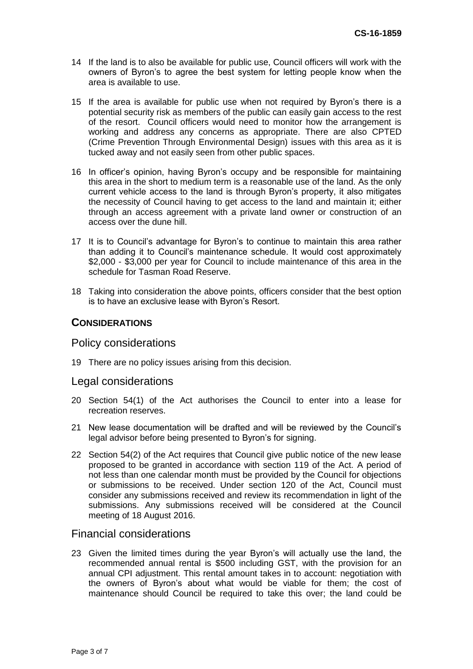- 14 If the land is to also be available for public use, Council officers will work with the owners of Byron's to agree the best system for letting people know when the area is available to use.
- 15 If the area is available for public use when not required by Byron's there is a potential security risk as members of the public can easily gain access to the rest of the resort. Council officers would need to monitor how the arrangement is working and address any concerns as appropriate. There are also CPTED (Crime Prevention Through Environmental Design) issues with this area as it is tucked away and not easily seen from other public spaces.
- 16 In officer's opinion, having Byron's occupy and be responsible for maintaining this area in the short to medium term is a reasonable use of the land. As the only current vehicle access to the land is through Byron's property, it also mitigates the necessity of Council having to get access to the land and maintain it; either through an access agreement with a private land owner or construction of an access over the dune hill.
- 17 It is to Council's advantage for Byron's to continue to maintain this area rather than adding it to Council's maintenance schedule. It would cost approximately \$2,000 - \$3,000 per year for Council to include maintenance of this area in the schedule for Tasman Road Reserve.
- 18 Taking into consideration the above points, officers consider that the best option is to have an exclusive lease with Byron's Resort.

#### **CONSIDERATIONS**

#### Policy considerations

19 There are no policy issues arising from this decision.

#### Legal considerations

- 20 Section 54(1) of the Act authorises the Council to enter into a lease for recreation reserves.
- 21 New lease documentation will be drafted and will be reviewed by the Council's legal advisor before being presented to Byron's for signing.
- 22 Section 54(2) of the Act requires that Council give public notice of the new lease proposed to be granted in accordance with section 119 of the Act. A period of not less than one calendar month must be provided by the Council for objections or submissions to be received. Under section 120 of the Act, Council must consider any submissions received and review its recommendation in light of the submissions. Any submissions received will be considered at the Council meeting of 18 August 2016.

#### Financial considerations

23 Given the limited times during the year Byron's will actually use the land, the recommended annual rental is \$500 including GST, with the provision for an annual CPI adjustment. This rental amount takes in to account: negotiation with the owners of Byron's about what would be viable for them; the cost of maintenance should Council be required to take this over; the land could be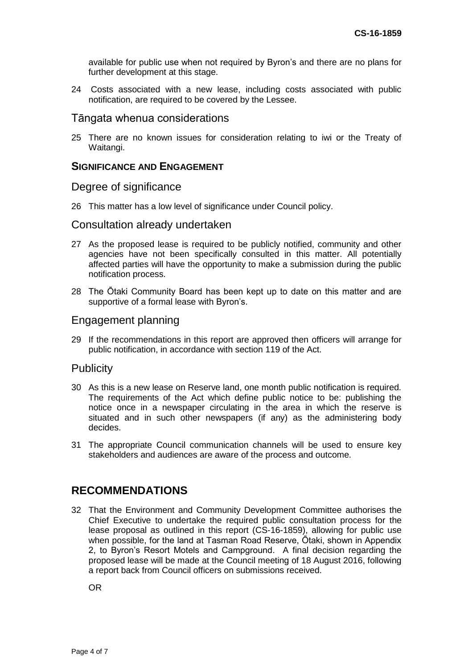available for public use when not required by Byron's and there are no plans for further development at this stage.

24 Costs associated with a new lease, including costs associated with public notification, are required to be covered by the Lessee.

#### Tāngata whenua considerations

25 There are no known issues for consideration relating to iwi or the Treaty of Waitangi.

#### **SIGNIFICANCE AND ENGAGEMENT**

#### Degree of significance

26 This matter has a low level of significance under Council policy.

#### Consultation already undertaken

- 27 As the proposed lease is required to be publicly notified, community and other agencies have not been specifically consulted in this matter. All potentially affected parties will have the opportunity to make a submission during the public notification process.
- 28 The Ōtaki Community Board has been kept up to date on this matter and are supportive of a formal lease with Byron's.

#### Engagement planning

29 If the recommendations in this report are approved then officers will arrange for public notification, in accordance with section 119 of the Act.

## **Publicity**

- 30 As this is a new lease on Reserve land, one month public notification is required. The requirements of the Act which define public notice to be: publishing the notice once in a newspaper circulating in the area in which the reserve is situated and in such other newspapers (if any) as the administering body decides.
- 31 The appropriate Council communication channels will be used to ensure key stakeholders and audiences are aware of the process and outcome.

## **RECOMMENDATIONS**

32 That the Environment and Community Development Committee authorises the Chief Executive to undertake the required public consultation process for the lease proposal as outlined in this report (CS-16-1859), allowing for public use when possible, for the land at Tasman Road Reserve, Ōtaki, shown in Appendix 2, to Byron's Resort Motels and Campground. A final decision regarding the proposed lease will be made at the Council meeting of 18 August 2016, following a report back from Council officers on submissions received.

OR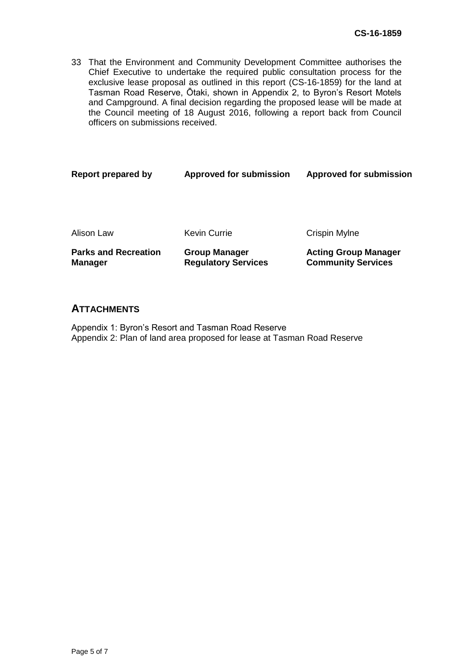33 That the Environment and Community Development Committee authorises the Chief Executive to undertake the required public consultation process for the exclusive lease proposal as outlined in this report (CS-16-1859) for the land at Tasman Road Reserve, Ōtaki, shown in Appendix 2, to Byron's Resort Motels and Campground. A final decision regarding the proposed lease will be made at the Council meeting of 18 August 2016, following a report back from Council officers on submissions received.

| Report prepared by                            | <b>Approved for submission</b>                     | <b>Approved for submission</b>                           |
|-----------------------------------------------|----------------------------------------------------|----------------------------------------------------------|
|                                               |                                                    |                                                          |
| Alison Law                                    | Kevin Currie                                       | Crispin Mylne                                            |
| <b>Parks and Recreation</b><br><b>Manager</b> | <b>Group Manager</b><br><b>Regulatory Services</b> | <b>Acting Group Manager</b><br><b>Community Services</b> |
|                                               |                                                    |                                                          |

#### **ATTACHMENTS**

Appendix 1: Byron's Resort and Tasman Road Reserve Appendix 2: Plan of land area proposed for lease at Tasman Road Reserve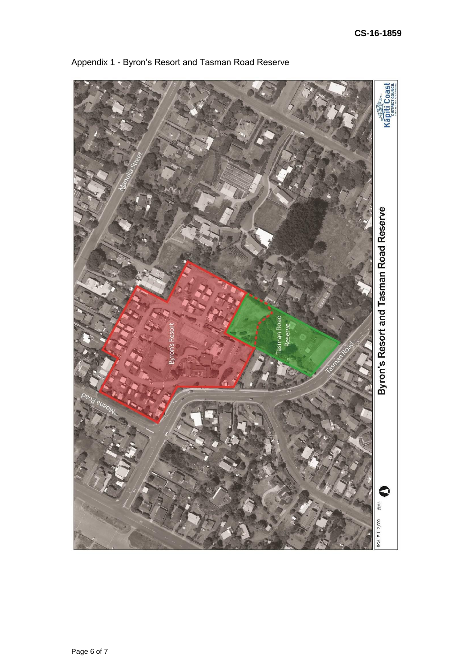

Appendix 1 - Byron's Resort and Tasman Road Reserve